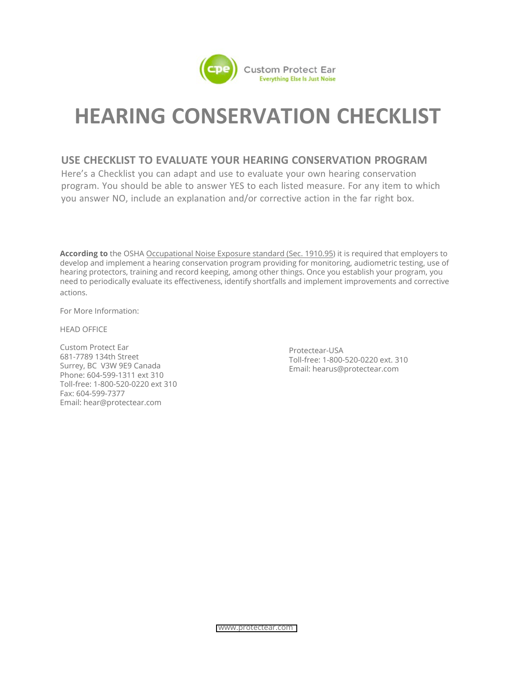

## **HEARING CONSERVATION CHECKLIST**

## **USE CHECKLIST TO EVALUATE YOUR HEARING CONSERVATION PROGRAM**

Here's a Checklist you can adapt and use to evaluate your own hearing conservation program. You should be able to answer YES to each listed measure. For any item to which you answer NO, include an explanation and/or corrective action in the far right box.

**According to** the OSHA [Occupational Noise Exposure standard \(Sec. 1910.95\)](http://www.osha.gov/pls/oshaweb/owadisp.show_document?p_table=STANDARDS&p_id=9735) it is required that employers to develop and implement a hearing conservation program providing for monitoring, audiometric testing, use of hearing protectors, training and record keeping, among other things. Once you establish your program, you need to periodically evaluate its effectiveness, identify shortfalls and implement improvements and corrective actions.

For More Information:

HEAD OFFICE

Custom Protect Ear 681-7789 134th Street Surrey, BC V3W 9E9 Canada Phone: 604-599-1311 ext 310 Toll-free: 1-800-520-0220 ext 310 Fax: 604-599-7377 Email: [hear@protectear.com](mailto:hear@protectear.comProtectear-USAToll-free:)

Protectear-USA Toll[-free: 1-8](mailto:hear@protectear.comProtectear-USAToll-free:)00-520-0220 ext. 310 Email: hearus@protectear.com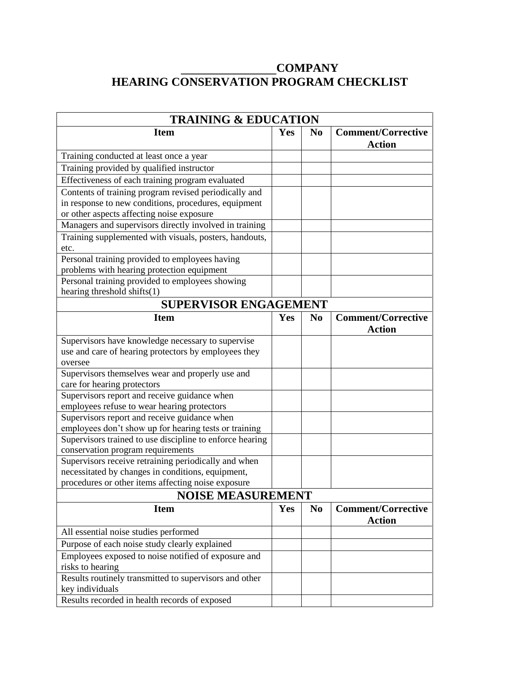## **\_\_\_\_\_\_\_\_\_\_\_\_\_\_\_\_COMPANY HEARING CONSERVATION PROGRAM CHECKLIST**

| <b>TRAINING &amp; EDUCATION</b>                                                 |     |                |                                            |  |
|---------------------------------------------------------------------------------|-----|----------------|--------------------------------------------|--|
| <b>Item</b>                                                                     | Yes | N <sub>0</sub> | <b>Comment/Corrective</b><br><b>Action</b> |  |
| Training conducted at least once a year                                         |     |                |                                            |  |
| Training provided by qualified instructor                                       |     |                |                                            |  |
| Effectiveness of each training program evaluated                                |     |                |                                            |  |
| Contents of training program revised periodically and                           |     |                |                                            |  |
| in response to new conditions, procedures, equipment                            |     |                |                                            |  |
| or other aspects affecting noise exposure                                       |     |                |                                            |  |
| Managers and supervisors directly involved in training                          |     |                |                                            |  |
| Training supplemented with visuals, posters, handouts,                          |     |                |                                            |  |
| etc.                                                                            |     |                |                                            |  |
| Personal training provided to employees having                                  |     |                |                                            |  |
| problems with hearing protection equipment                                      |     |                |                                            |  |
| Personal training provided to employees showing                                 |     |                |                                            |  |
| hearing threshold shifts(1)                                                     |     |                |                                            |  |
| <b>SUPERVISOR ENGAGEMENT</b>                                                    |     |                |                                            |  |
| <b>Item</b>                                                                     | Yes | N <sub>0</sub> | <b>Comment/Corrective</b>                  |  |
|                                                                                 |     |                | <b>Action</b>                              |  |
| Supervisors have knowledge necessary to supervise                               |     |                |                                            |  |
| use and care of hearing protectors by employees they                            |     |                |                                            |  |
| oversee                                                                         |     |                |                                            |  |
| Supervisors themselves wear and properly use and<br>care for hearing protectors |     |                |                                            |  |
| Supervisors report and receive guidance when                                    |     |                |                                            |  |
| employees refuse to wear hearing protectors                                     |     |                |                                            |  |
| Supervisors report and receive guidance when                                    |     |                |                                            |  |
| employees don't show up for hearing tests or training                           |     |                |                                            |  |
| Supervisors trained to use discipline to enforce hearing                        |     |                |                                            |  |
| conservation program requirements                                               |     |                |                                            |  |
| Supervisors receive retraining periodically and when                            |     |                |                                            |  |
| necessitated by changes in conditions, equipment,                               |     |                |                                            |  |
| procedures or other items affecting noise exposure                              |     |                |                                            |  |
| <b>NOISE MEASUREMENT</b>                                                        |     |                |                                            |  |
| <b>Item</b>                                                                     | Yes | N <sub>0</sub> | <b>Comment/Corrective</b>                  |  |
|                                                                                 |     |                | <b>Action</b>                              |  |
| All essential noise studies performed                                           |     |                |                                            |  |
| Purpose of each noise study clearly explained                                   |     |                |                                            |  |
| Employees exposed to noise notified of exposure and                             |     |                |                                            |  |
| risks to hearing                                                                |     |                |                                            |  |
| Results routinely transmitted to supervisors and other                          |     |                |                                            |  |
| key individuals                                                                 |     |                |                                            |  |
| Results recorded in health records of exposed                                   |     |                |                                            |  |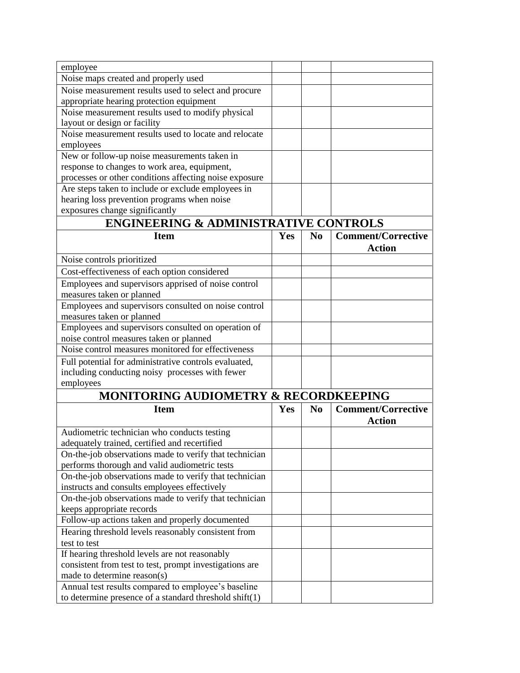| employee                                                        |            |    |                           |
|-----------------------------------------------------------------|------------|----|---------------------------|
| Noise maps created and properly used                            |            |    |                           |
| Noise measurement results used to select and procure            |            |    |                           |
| appropriate hearing protection equipment                        |            |    |                           |
| Noise measurement results used to modify physical               |            |    |                           |
| layout or design or facility                                    |            |    |                           |
| Noise measurement results used to locate and relocate           |            |    |                           |
| employees                                                       |            |    |                           |
| New or follow-up noise measurements taken in                    |            |    |                           |
| response to changes to work area, equipment,                    |            |    |                           |
| processes or other conditions affecting noise exposure          |            |    |                           |
| Are steps taken to include or exclude employees in              |            |    |                           |
| hearing loss prevention programs when noise                     |            |    |                           |
| exposures change significantly                                  |            |    |                           |
| <b>ENGINEERING &amp; ADMINISTRATIVE CONTROLS</b>                |            |    |                           |
| <b>Item</b>                                                     | Yes        | No | <b>Comment/Corrective</b> |
|                                                                 |            |    | <b>Action</b>             |
| Noise controls prioritized                                      |            |    |                           |
| Cost-effectiveness of each option considered                    |            |    |                           |
| Employees and supervisors apprised of noise control             |            |    |                           |
| measures taken or planned                                       |            |    |                           |
| Employees and supervisors consulted on noise control            |            |    |                           |
| measures taken or planned                                       |            |    |                           |
| Employees and supervisors consulted on operation of             |            |    |                           |
| noise control measures taken or planned                         |            |    |                           |
| Noise control measures monitored for effectiveness              |            |    |                           |
| Full potential for administrative controls evaluated,           |            |    |                           |
| including conducting noisy processes with fewer                 |            |    |                           |
| employees                                                       |            |    |                           |
| MONITORING AUDIOMETRY & RECORDKEEPING                           |            |    |                           |
| <b>Item</b>                                                     | <b>Yes</b> | No | <b>Comment/Corrective</b> |
|                                                                 |            |    | <b>Action</b>             |
| Audiometric technician who conducts testing                     |            |    |                           |
| adequately trained, certified and recertified                   |            |    |                           |
| On-the-job observations made to verify that technician          |            |    |                           |
| performs thorough and valid audiometric tests                   |            |    |                           |
| On-the-job observations made to verify that technician          |            |    |                           |
| instructs and consults employees effectively                    |            |    |                           |
| On-the-job observations made to verify that technician          |            |    |                           |
| keeps appropriate records                                       |            |    |                           |
| Follow-up actions taken and properly documented                 |            |    |                           |
| Hearing threshold levels reasonably consistent from             |            |    |                           |
| test to test                                                    |            |    |                           |
| If hearing threshold levels are not reasonably                  |            |    |                           |
| consistent from test to test, prompt investigations are         |            |    |                           |
| made to determine reason(s)                                     |            |    |                           |
| Annual test results compared to employee's baseline             |            |    |                           |
| to determine presence of a standard threshold $\text{shift}(1)$ |            |    |                           |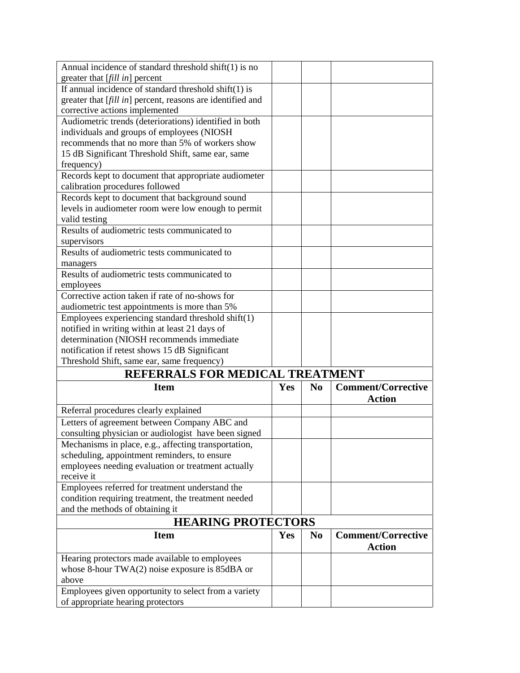| Annual incidence of standard threshold shift $(1)$ is no                                     |            |                |                           |
|----------------------------------------------------------------------------------------------|------------|----------------|---------------------------|
| greater that [fill in] percent                                                               |            |                |                           |
| If annual incidence of standard threshold $shift(1)$ is                                      |            |                |                           |
| greater that [fill in] percent, reasons are identified and                                   |            |                |                           |
| corrective actions implemented                                                               |            |                |                           |
| Audiometric trends (deteriorations) identified in both                                       |            |                |                           |
| individuals and groups of employees (NIOSH                                                   |            |                |                           |
| recommends that no more than 5% of workers show                                              |            |                |                           |
| 15 dB Significant Threshold Shift, same ear, same                                            |            |                |                           |
| frequency)                                                                                   |            |                |                           |
| Records kept to document that appropriate audiometer                                         |            |                |                           |
| calibration procedures followed                                                              |            |                |                           |
| Records kept to document that background sound                                               |            |                |                           |
| levels in audiometer room were low enough to permit                                          |            |                |                           |
| valid testing                                                                                |            |                |                           |
| Results of audiometric tests communicated to                                                 |            |                |                           |
| supervisors                                                                                  |            |                |                           |
| Results of audiometric tests communicated to                                                 |            |                |                           |
| managers                                                                                     |            |                |                           |
| Results of audiometric tests communicated to                                                 |            |                |                           |
| employees                                                                                    |            |                |                           |
| Corrective action taken if rate of no-shows for                                              |            |                |                           |
| audiometric test appointments is more than 5%                                                |            |                |                           |
| Employees experiencing standard threshold shift(1)                                           |            |                |                           |
| notified in writing within at least 21 days of                                               |            |                |                           |
| determination (NIOSH recommends immediate                                                    |            |                |                           |
|                                                                                              |            |                |                           |
|                                                                                              |            |                |                           |
| notification if retest shows 15 dB Significant<br>Threshold Shift, same ear, same frequency) |            |                |                           |
|                                                                                              |            |                |                           |
| REFERRALS FOR MEDICAL TREATMENT                                                              |            |                |                           |
| <b>Item</b>                                                                                  | <b>Yes</b> | N <sub>0</sub> | <b>Comment/Corrective</b> |
|                                                                                              |            |                | <b>Action</b>             |
| Referral procedures clearly explained                                                        |            |                |                           |
| Letters of agreement between Company ABC and                                                 |            |                |                           |
| consulting physician or audiologist have been signed                                         |            |                |                           |
| Mechanisms in place, e.g., affecting transportation,                                         |            |                |                           |
| scheduling, appointment reminders, to ensure                                                 |            |                |                           |
| employees needing evaluation or treatment actually                                           |            |                |                           |
| receive it                                                                                   |            |                |                           |
| Employees referred for treatment understand the                                              |            |                |                           |
| condition requiring treatment, the treatment needed                                          |            |                |                           |
| and the methods of obtaining it                                                              |            |                |                           |
| <b>HEARING PROTECTORS</b>                                                                    |            |                |                           |
| <b>Item</b>                                                                                  | Yes        | N <sub>0</sub> | <b>Comment/Corrective</b> |
|                                                                                              |            |                | <b>Action</b>             |
| Hearing protectors made available to employees                                               |            |                |                           |
| whose 8-hour $TWA(2)$ noise exposure is 85dBA or                                             |            |                |                           |
| above                                                                                        |            |                |                           |
| Employees given opportunity to select from a variety                                         |            |                |                           |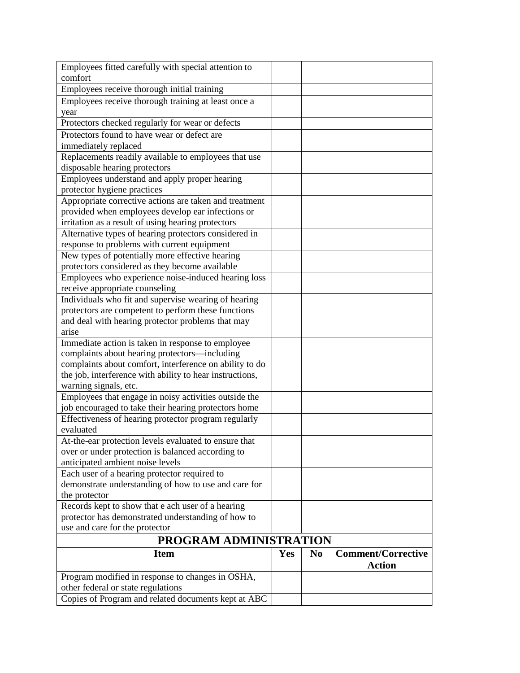| Employees fitted carefully with special attention to     |     |                |                           |
|----------------------------------------------------------|-----|----------------|---------------------------|
| comfort                                                  |     |                |                           |
| Employees receive thorough initial training              |     |                |                           |
| Employees receive thorough training at least once a      |     |                |                           |
| year                                                     |     |                |                           |
| Protectors checked regularly for wear or defects         |     |                |                           |
| Protectors found to have wear or defect are              |     |                |                           |
| immediately replaced                                     |     |                |                           |
| Replacements readily available to employees that use     |     |                |                           |
| disposable hearing protectors                            |     |                |                           |
| Employees understand and apply proper hearing            |     |                |                           |
| protector hygiene practices                              |     |                |                           |
| Appropriate corrective actions are taken and treatment   |     |                |                           |
| provided when employees develop ear infections or        |     |                |                           |
| irritation as a result of using hearing protectors       |     |                |                           |
| Alternative types of hearing protectors considered in    |     |                |                           |
| response to problems with current equipment              |     |                |                           |
| New types of potentially more effective hearing          |     |                |                           |
| protectors considered as they become available           |     |                |                           |
| Employees who experience noise-induced hearing loss      |     |                |                           |
| receive appropriate counseling                           |     |                |                           |
| Individuals who fit and supervise wearing of hearing     |     |                |                           |
| protectors are competent to perform these functions      |     |                |                           |
| and deal with hearing protector problems that may        |     |                |                           |
| arise                                                    |     |                |                           |
| Immediate action is taken in response to employee        |     |                |                           |
| complaints about hearing protectors-including            |     |                |                           |
| complaints about comfort, interference on ability to do  |     |                |                           |
| the job, interference with ability to hear instructions, |     |                |                           |
| warning signals, etc.                                    |     |                |                           |
| Employees that engage in noisy activities outside the    |     |                |                           |
| job encouraged to take their hearing protectors home     |     |                |                           |
| Effectiveness of hearing protector program regularly     |     |                |                           |
| evaluated                                                |     |                |                           |
| At-the-ear protection levels evaluated to ensure that    |     |                |                           |
| over or under protection is balanced according to        |     |                |                           |
| anticipated ambient noise levels                         |     |                |                           |
| Each user of a hearing protector required to             |     |                |                           |
| demonstrate understanding of how to use and care for     |     |                |                           |
| the protector                                            |     |                |                           |
| Records kept to show that e ach user of a hearing        |     |                |                           |
| protector has demonstrated understanding of how to       |     |                |                           |
| use and care for the protector                           |     |                |                           |
| PROGRAM ADMINISTRATION                                   |     |                |                           |
| <b>Item</b>                                              | Yes | N <sub>0</sub> | <b>Comment/Corrective</b> |
|                                                          |     |                | <b>Action</b>             |
|                                                          |     |                |                           |
| Program modified in response to changes in OSHA,         |     |                |                           |
| other federal or state regulations                       |     |                |                           |
| Copies of Program and related documents kept at ABC      |     |                |                           |